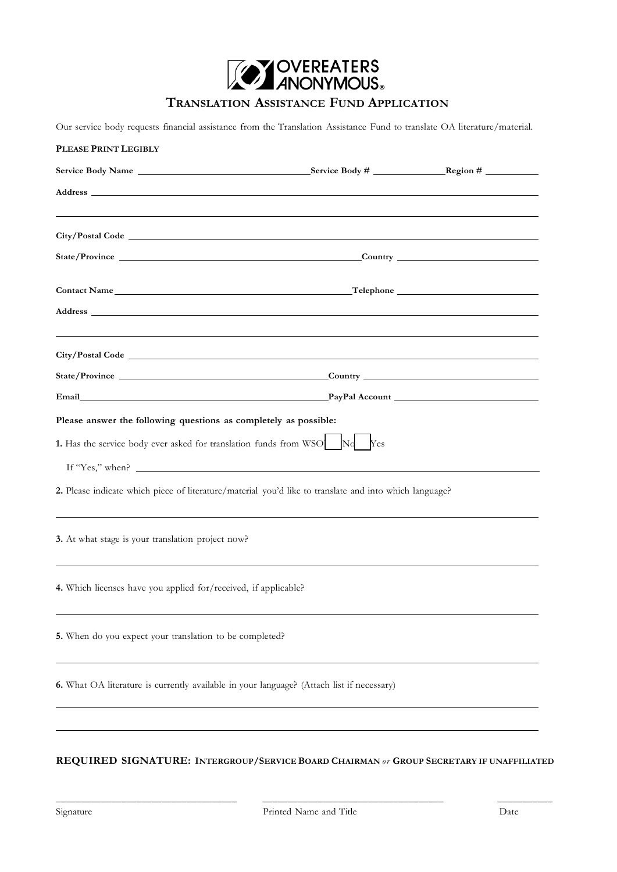

# **TRANSLATION ASSISTANCE FUND APPLICATION**

Our service body requests financial assistance from the Translation Assistance Fund to translate OA literature/material.

| PLEASE PRINT LEGIBLY                                                                                                                                                                                                           |                                                                                                                        |  |
|--------------------------------------------------------------------------------------------------------------------------------------------------------------------------------------------------------------------------------|------------------------------------------------------------------------------------------------------------------------|--|
|                                                                                                                                                                                                                                |                                                                                                                        |  |
|                                                                                                                                                                                                                                |                                                                                                                        |  |
|                                                                                                                                                                                                                                |                                                                                                                        |  |
|                                                                                                                                                                                                                                |                                                                                                                        |  |
|                                                                                                                                                                                                                                |                                                                                                                        |  |
| Contact Name Telephone Telephone Telephone Telephone Telephone Telephone Contact Name Telephone Contact Name Contact Name Contact Name Contact Name Contact Name Contact Name Contact Name Contact Name Contact Name Contact N |                                                                                                                        |  |
|                                                                                                                                                                                                                                |                                                                                                                        |  |
|                                                                                                                                                                                                                                |                                                                                                                        |  |
|                                                                                                                                                                                                                                |                                                                                                                        |  |
|                                                                                                                                                                                                                                |                                                                                                                        |  |
| Email PayPal Account PayPal Account PayPal Account                                                                                                                                                                             |                                                                                                                        |  |
| Please answer the following questions as completely as possible:                                                                                                                                                               |                                                                                                                        |  |
| 1. Has the service body ever asked for translation funds from WSO No                                                                                                                                                           | Yes                                                                                                                    |  |
| If "Yes," when? $\qquad \qquad$                                                                                                                                                                                                |                                                                                                                        |  |
| 2. Please indicate which piece of literature/material you'd like to translate and into which language?                                                                                                                         |                                                                                                                        |  |
| 3. At what stage is your translation project now?                                                                                                                                                                              | <u> 1989 - Johann Stoff, deutscher Stoffen und der Stoffen und der Stoffen und der Stoffen und der Stoffen und der</u> |  |
| 4. Which licenses have you applied for/received, if applicable?                                                                                                                                                                |                                                                                                                        |  |
| 5. When do you expect your translation to be completed?                                                                                                                                                                        |                                                                                                                        |  |
| 6. What OA literature is currently available in your language? (Attach list if necessary)                                                                                                                                      |                                                                                                                        |  |
|                                                                                                                                                                                                                                |                                                                                                                        |  |

## **REQUIRED SIGNATURE: INTERGROUP/SERVICE BOARD CHAIRMAN** *or* **GROUP SECRETARY IF UNAFFILIATED**

\_\_\_\_\_\_\_\_\_\_\_\_\_\_\_\_\_\_\_\_\_\_\_\_\_\_\_\_\_\_\_\_\_\_\_\_ \_\_\_\_\_\_\_\_\_\_\_\_\_\_\_\_\_\_\_\_\_\_\_\_\_\_\_\_\_\_\_\_\_\_\_\_ \_\_\_\_\_\_\_\_\_\_\_